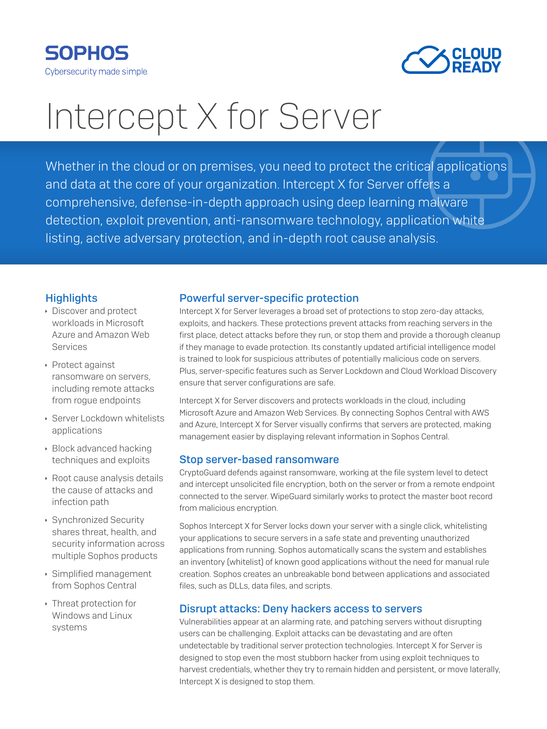



# Intercept X for Server

Whether in the cloud or on premises, you need to protect the critical applications and data at the core of your organization. Intercept X for Server offers a comprehensive, defense-in-depth approach using deep learning malware detection, exploit prevention, anti-ransomware technology, application white listing, active adversary protection, and in-depth root cause analysis.

### **Highlights**

- **Discover and protect** workloads in Microsoft Azure and Amazon Web Services
- ▶ Protect against ransomware on servers, including remote attacks from rogue endpoints
- **Server Lockdown whitelists** applications
- $\rightarrow$  Block advanced hacking techniques and exploits
- **Root cause analysis details** the cause of attacks and infection path
- ▶ Synchronized Security shares threat, health, and security information across multiple Sophos products
- **Simplified management** from Sophos Central
- **Inteat protection for** Windows and Linux systems

## Powerful server-specific protection

Intercept X for Server leverages a broad set of protections to stop zero-day attacks, exploits, and hackers. These protections prevent attacks from reaching servers in the first place, detect attacks before they run, or stop them and provide a thorough cleanup if they manage to evade protection. Its constantly updated artificial intelligence model is trained to look for suspicious attributes of potentially malicious code on servers. Plus, server-specific features such as Server Lockdown and Cloud Workload Discovery ensure that server configurations are safe.

Intercept X for Server discovers and protects workloads in the cloud, including Microsoft Azure and Amazon Web Services. By connecting Sophos Central with AWS and Azure, Intercept X for Server visually confirms that servers are protected, making management easier by displaying relevant information in Sophos Central.

#### Stop server-based ransomware

CryptoGuard defends against ransomware, working at the file system level to detect and intercept unsolicited file encryption, both on the server or from a remote endpoint connected to the server. WipeGuard similarly works to protect the master boot record from malicious encryption.

Sophos Intercept X for Server locks down your server with a single click, whitelisting your applications to secure servers in a safe state and preventing unauthorized applications from running. Sophos automatically scans the system and establishes an inventory (whitelist) of known good applications without the need for manual rule creation. Sophos creates an unbreakable bond between applications and associated files, such as DLLs, data files, and scripts.

## Disrupt attacks: Deny hackers access to servers

Vulnerabilities appear at an alarming rate, and patching servers without disrupting users can be challenging. Exploit attacks can be devastating and are often undetectable by traditional server protection technologies. Intercept X for Server is designed to stop even the most stubborn hacker from using exploit techniques to harvest credentials, whether they try to remain hidden and persistent, or move laterally, Intercept X is designed to stop them.